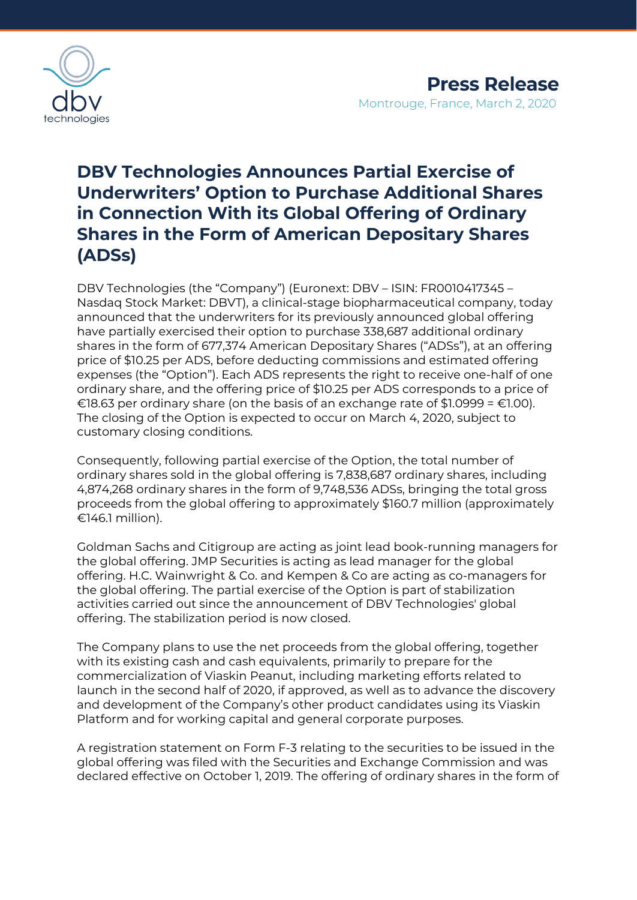

# **DBV Technologies Announces Partial Exercise of Underwriters' Option to Purchase Additional Shares in Connection With its Global Offering of Ordinary Shares in the Form of American Depositary Shares (ADSs)**

DBV Technologies (the "Company") (Euronext: DBV – ISIN: FR0010417345 – Nasdaq Stock Market: DBVT), a clinical-stage biopharmaceutical company, today announced that the underwriters for its previously announced global offering have partially exercised their option to purchase 338,687 additional ordinary shares in the form of 677,374 American Depositary Shares ("ADSs"), at an offering price of \$10.25 per ADS, before deducting commissions and estimated offering expenses (the "Option"). Each ADS represents the right to receive one-half of one ordinary share, and the offering price of \$10.25 per ADS corresponds to a price of €18.63 per ordinary share (on the basis of an exchange rate of \$1.0999 = €1.00). The closing of the Option is expected to occur on March 4, 2020, subject to customary closing conditions.

Consequently, following partial exercise of the Option, the total number of ordinary shares sold in the global offering is 7,838,687 ordinary shares, including 4,874,268 ordinary shares in the form of 9,748,536 ADSs, bringing the total gross proceeds from the global offering to approximately \$160.7 million (approximately €146.1 million).

Goldman Sachs and Citigroup are acting as joint lead book-running managers for the global offering. JMP Securities is acting as lead manager for the global offering. H.C. Wainwright & Co. and Kempen & Co are acting as co-managers for the global offering. The partial exercise of the Option is part of stabilization activities carried out since the announcement of DBV Technologies' global offering. The stabilization period is now closed.

The Company plans to use the net proceeds from the global offering, together with its existing cash and cash equivalents, primarily to prepare for the commercialization of Viaskin Peanut, including marketing efforts related to launch in the second half of 2020, if approved, as well as to advance the discovery and development of the Company's other product candidates using its Viaskin Platform and for working capital and general corporate purposes.

A registration statement on Form F-3 relating to the securities to be issued in the global offering was filed with the Securities and Exchange Commission and was declared effective on October 1, 2019. The offering of ordinary shares in the form of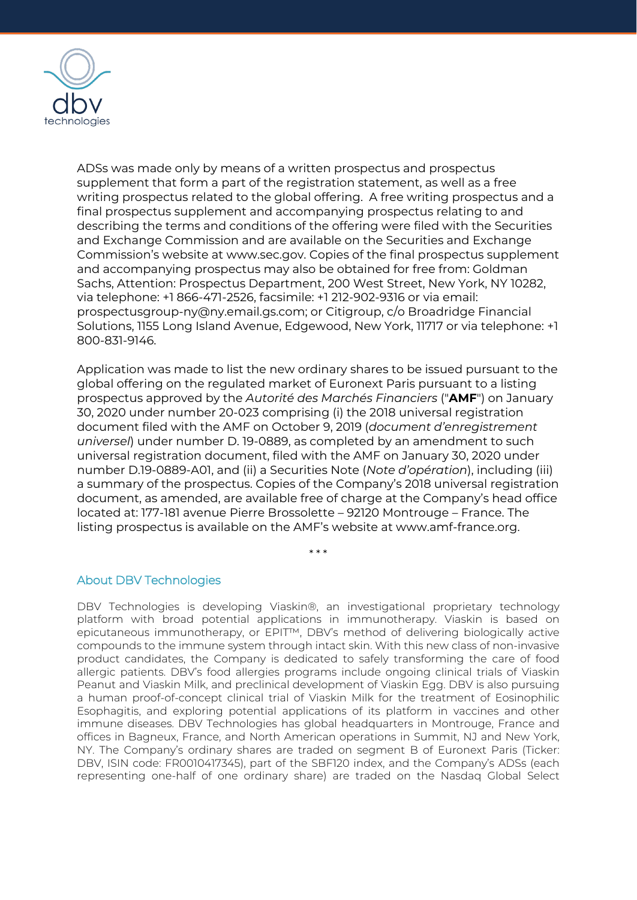

ADSs was made only by means of a written prospectus and prospectus supplement that form a part of the registration statement, as well as a free writing prospectus related to the global offering. A free writing prospectus and a final prospectus supplement and accompanying prospectus relating to and describing the terms and conditions of the offering were filed with the Securities and Exchange Commission and are available on the Securities and Exchange Commission's website at www.sec.gov. Copies of the final prospectus supplement and accompanying prospectus may also be obtained for free from: Goldman Sachs, Attention: Prospectus Department, 200 West Street, New York, NY 10282, via telephone: +1 866-471-2526, facsimile: +1 212-902-9316 or via email: prospectusgroup-ny@ny.email.gs.com; or Citigroup, c/o Broadridge Financial Solutions, 1155 Long Island Avenue, Edgewood, New York, 11717 or via telephone: +1 800-831-9146.

Application was made to list the new ordinary shares to be issued pursuant to the global offering on the regulated market of Euronext Paris pursuant to a listing prospectus approved by the *Autorité des Marchés Financiers* ("**AMF**") on January 30, 2020 under number 20-023 comprising (i) the 2018 universal registration document filed with the AMF on October 9, 2019 (*document d'enregistrement universel*) under number D. 19-0889, as completed by an amendment to such universal registration document, filed with the AMF on January 30, 2020 under number D.19-0889-A01, and (ii) a Securities Note (*Note d'opération*), including (iii) a summary of the prospectus. Copies of the Company's 2018 universal registration document, as amended, are available free of charge at the Company's head office located at: 177-181 avenue Pierre Brossolette – 92120 Montrouge – France. The listing prospectus is available on the AMF's website at www.amf-france.org.

\* \* \*

## About DBV Technologies

DBV Technologies is developing Viaskin®, an investigational proprietary technology platform with broad potential applications in immunotherapy. Viaskin is based on epicutaneous immunotherapy, or EPIT™, DBV's method of delivering biologically active compounds to the immune system through intact skin. With this new class of non-invasive product candidates, the Company is dedicated to safely transforming the care of food allergic patients. DBV's food allergies programs include ongoing clinical trials of Viaskin Peanut and Viaskin Milk, and preclinical development of Viaskin Egg. DBV is also pursuing a human proof-of-concept clinical trial of Viaskin Milk for the treatment of Eosinophilic Esophagitis, and exploring potential applications of its platform in vaccines and other immune diseases. DBV Technologies has global headquarters in Montrouge, France and offices in Bagneux, France, and North American operations in Summit, NJ and New York, NY. The Company's ordinary shares are traded on segment B of Euronext Paris (Ticker: DBV, ISIN code: FR0010417345), part of the SBF120 index, and the Company's ADSs (each representing one-half of one ordinary share) are traded on the Nasdaq Global Select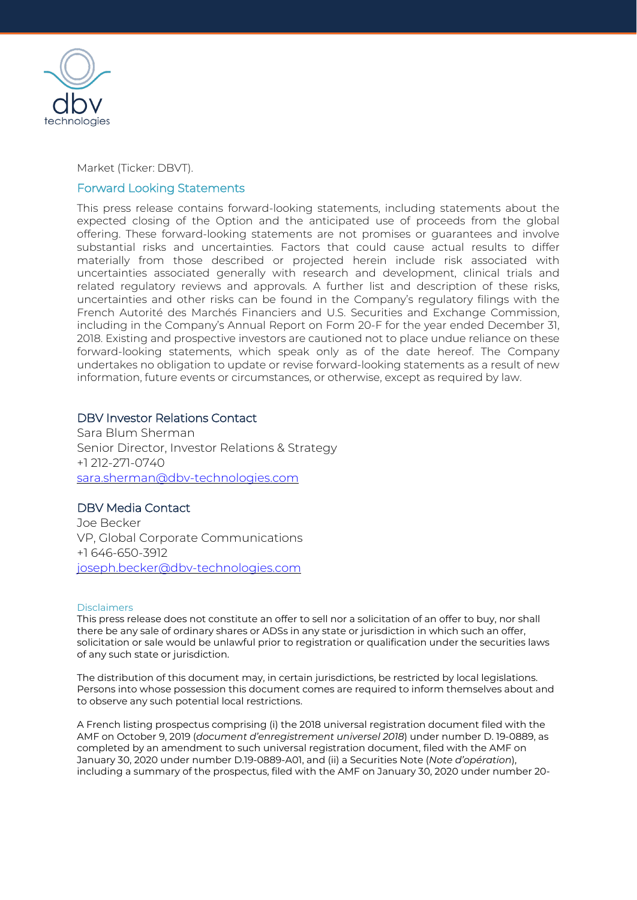

Market (Ticker: DBVT).

#### Forward Looking Statements

This press release contains forward-looking statements, including statements about the expected closing of the Option and the anticipated use of proceeds from the global offering. These forward-looking statements are not promises or guarantees and involve substantial risks and uncertainties. Factors that could cause actual results to differ materially from those described or projected herein include risk associated with uncertainties associated generally with research and development, clinical trials and related regulatory reviews and approvals. A further list and description of these risks, uncertainties and other risks can be found in the Company's regulatory filings with the French Autorité des Marchés Financiers and U.S. Securities and Exchange Commission, including in the Company's Annual Report on Form 20-F for the year ended December 31, 2018. Existing and prospective investors are cautioned not to place undue reliance on these forward-looking statements, which speak only as of the date hereof. The Company undertakes no obligation to update or revise forward-looking statements as a result of new information, future events or circumstances, or otherwise, except as required by law.

#### DBV Investor Relations Contact

Sara Blum Sherman Senior Director, Investor Relations & Strategy +1 212-271-0740 [sara.sherman@dbv-technologies.com](mailto:sara.sherman@dbv-technologies.com)

### DBV Media Contact

Joe Becker VP, Global Corporate Communications +1 646-650-3912 [joseph.becker@dbv-technologies.com](mailto:joseph.becker@dbv-technologies.com)

#### Disclaimers

This press release does not constitute an offer to sell nor a solicitation of an offer to buy, nor shall there be any sale of ordinary shares or ADSs in any state or jurisdiction in which such an offer, solicitation or sale would be unlawful prior to registration or qualification under the securities laws of any such state or jurisdiction.

The distribution of this document may, in certain jurisdictions, be restricted by local legislations. Persons into whose possession this document comes are required to inform themselves about and to observe any such potential local restrictions.

A French listing prospectus comprising (i) the 2018 universal registration document filed with the AMF on October 9, 2019 (*document d'enregistrement universel 2018*) under number D. 19-0889, as completed by an amendment to such universal registration document, filed with the AMF on January 30, 2020 under number D.19-0889-A01, and (ii) a Securities Note (*Note d'opération*), including a summary of the prospectus, filed with the AMF on January 30, 2020 under number 20-